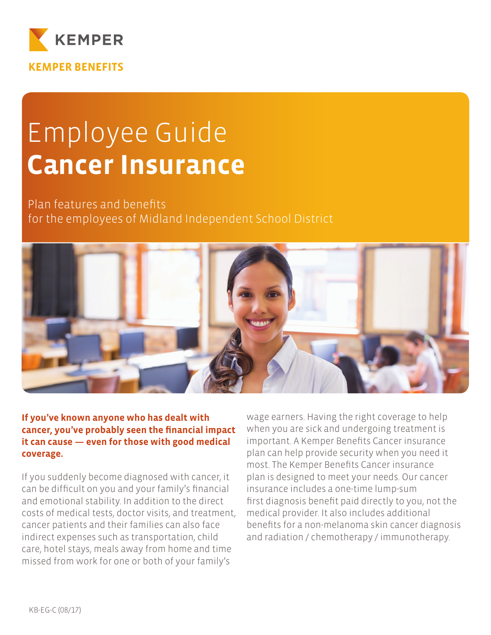

# Employee Guide **Cancer Insurance**

Plan features and benefits for the employees of Midland Independent School District



**Heim is view of the same in the same is said to the same if you've known anyone who has dealt with** cancer, you've probably seen the financial impact **lit can cause — even for those with good medical** coverage.

If you suddenly become diagnosed with cancer, it can be difficult on you and your family's financial and emotional stability. In addition to the direct costs of medical tests, doctor visits, and treatment, cancer patients and their families can also face indirect expenses such as transportation, child care, hotel stays, meals away from home and time missed from work for one or both of your family's

wage earners. Having the right coverage to help when you are sick and undergoing treatment is important. A Kemper Benefits Cancer insurance plan can help provide security when you need it most. The Kemper Benefits Cancer insurance plan is designed to meet your needs. Our cancer insurance includes a one-time lump-sum first diagnosis benefit paid directly to you, not the medical provider. It also includes additional benefits for a non-melanoma skin cancer diagnosis and radiation / chemotherapy / immunotherapy.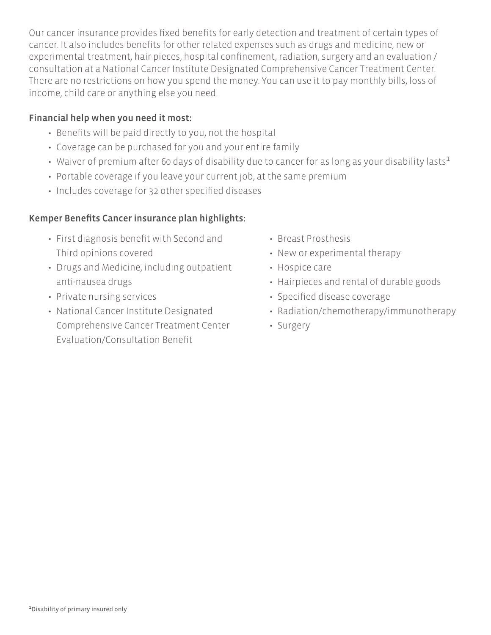Our cancer insurance provides fixed benefits for early detection and treatment of certain types of cancer. It also includes benefits for other related expenses such as drugs and medicine, new or experimental treatment, hair pieces, hospital confinement, radiation, surgery and an evaluation / consultation at a National Cancer Institute Designated Comprehensive Cancer Treatment Center. There are no restrictions on how you spend the money. You can use it to pay monthly bills, loss of income, child care or anything else you need.

### Financial help when you need it most:

- Benefits will be paid directly to you, not the hospital
- Coverage can be purchased for you and your entire family
- Waiver of premium after 60 days of disability due to cancer for as long as your disability lasts<sup>1</sup>
- Portable coverage if you leave your current job, at the same premium
- Includes coverage for 32 other specified diseases

### Kemper Benefits Cancer insurance plan highlights:

- First diagnosis benefit with Second and Third opinions covered
- Drugs and Medicine, including outpatient anti-nausea drugs
- Private nursing services
- National Cancer Institute Designated Comprehensive Cancer Treatment Center Evaluation/Consultation Benefit
- Breast Prosthesis
- New or experimental therapy
- Hospice care
- Hairpieces and rental of durable goods
- Specified disease coverage
- Radiation/chemotherapy/immunotherapy
- Surgery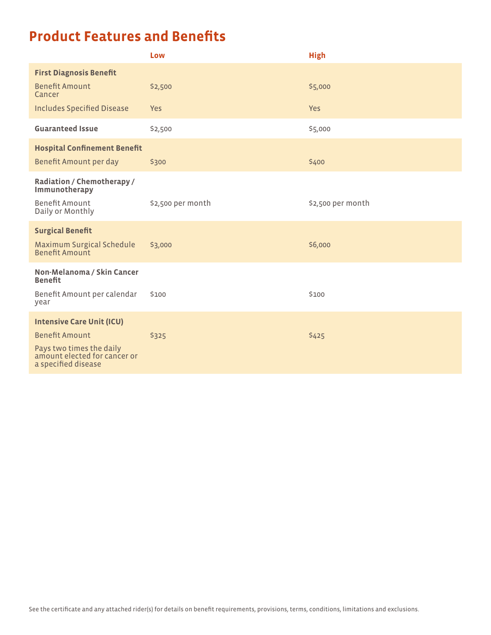# **Product Features and Benefits**

|                                                                                                          | Low               | <b>High</b>       |
|----------------------------------------------------------------------------------------------------------|-------------------|-------------------|
| <b>First Diagnosis Benefit</b>                                                                           |                   |                   |
| <b>Benefit Amount</b><br>Cancer                                                                          | \$2,500           | \$5,000           |
| <b>Includes Specified Disease</b>                                                                        | <b>Yes</b>        | <b>Yes</b>        |
| <b>Guaranteed Issue</b>                                                                                  | \$2,500           | \$5,000           |
| <b>Hospital Confinement Benefit</b>                                                                      |                   |                   |
| Benefit Amount per day                                                                                   | \$300             | \$400             |
| Radiation / Chemotherapy /<br>Immunotherapy<br>Benefit Amount                                            | \$2,500 per month | \$2,500 per month |
| Daily or Monthly                                                                                         |                   |                   |
| <b>Surgical Benefit</b>                                                                                  |                   |                   |
| Maximum Surgical Schedule<br>Benefit Amount                                                              | \$3,000           | \$6,000           |
| Non-Melanoma / Skin Cancer<br><b>Benefit</b>                                                             |                   |                   |
| Benefit Amount per calendar<br>year                                                                      | \$100             | \$100             |
| <b>Intensive Care Unit (ICU)</b>                                                                         |                   |                   |
| <b>Benefit Amount</b><br>Pays two times the daily<br>amount elected for cancer or<br>a specified disease | \$325             | \$425             |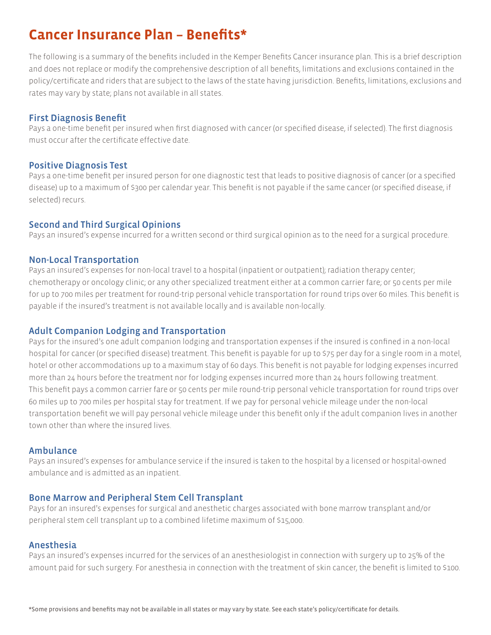## **Cancer Insurance Plan - Benefits\***

The following is a summary of the benefits included in the Kemper Benefits Cancer insurance plan. This is a brief description and does not replace or modify the comprehensive description of all benefits, limitations and exclusions contained in the policy/certificate and riders that are subject to the laws of the state having jurisdiction. Benefits, limitations, exclusions and rates may vary by state; plans not available in all states.

#### **First Diagnosis Benefit**

Pays a one-time benefit per insured when first diagnosed with cancer (or specified disease, if selected). The first diagnosis must occur after the certificate effective date.

#### **Positive Diagnosis Test**

Pays a one-time benefit per insured person for one diagnostic test that leads to positive diagnosis of cancer (or a specified disease) up to a maximum of \$300 per calendar year. This benefit is not payable if the same cancer (or specified disease, if selected) recurs.

#### **Second and Third Surgical Opinions**

Pays an insured's expense incurred for a written second or third surgical opinion as to the need for a surgical procedure.

#### **Non-Local Transportation**

Pays an insured's expenses for non-local travel to a hospital (inpatient or outpatient); radiation therapy center; chemotherapy or oncology clinic; or any other specialized treatment either at a common carrier fare; or 50 cents per mile for up to 700 miles per treatment for round-trip personal vehicle transportation for round trips over 60 miles. This benefit is payable if the insured's treatment is not available locally and is available non-locally.

#### **Adult Companion Lodging and Transportation**

Pays for the insured's one adult companion lodging and transportation expenses if the insured is confined in a non-local hospital for cancer (or specified disease) treatment. This benefit is payable for up to \$75 per day for a single room in a motel, hotel or other accommodations up to a maximum stay of 60 days. This benefit is not payable for lodging expenses incurred more than 24 hours before the treatment nor for lodging expenses incurred more than 24 hours following treatment. This benefit pays a common carrier fare or 50 cents per mile round-trip personal vehicle transportation for round trips over 60 miles up to 700 miles per hospital stay for treatment. If we pay for personal vehicle mileage under the non-local transportation benefit we will pay personal vehicle mileage under this benefit only if the adult companion lives in another town other than where the insured lives

#### **Ambulance**

Pays an insured's expenses for ambulance service if the insured is taken to the hospital by a licensed or hospital-owned ambulance and is admitted as an inpatient.

#### **Bone Marrow and Peripheral Stem Cell Transplant**

Pays for an insured's expenses for surgical and anesthetic charges associated with bone marrow transplant and/or peripheral stem cell transplant up to a combined lifetime maximum of \$15,000.

#### Anesthesia

Pays an insured's expenses incurred for the services of an anesthesiologist in connection with surgery up to 25% of the amount paid for such surgery. For anesthesia in connection with the treatment of skin cancer, the benefit is limited to \$100.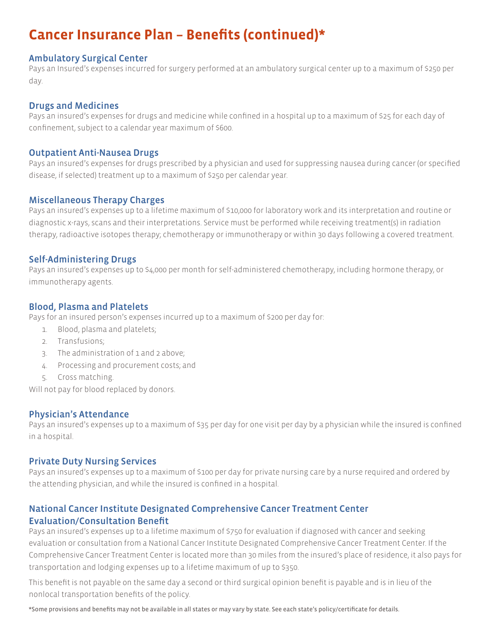#### Ambulatory Surgical Center

Pays an Insured's expenses incurred for surgery performed at an ambulatory surgical center up to a maximum of \$250 per day.

#### **Drugs and Medicines**

Pays an insured's expenses for drugs and medicine while confined in a hospital up to a maximum of \$25 for each day of confinement, subject to a calendar year maximum of \$600.

#### **Outpatient Anti-Nausea Drugs**

Pays an insured's expenses for drugs prescribed by a physician and used for suppressing nausea during cancer (or specified disease, if selected) treatment up to a maximum of \$250 per calendar year.

#### **Miscellaneous Therapy Charges**

Pays an insured's expenses up to a lifetime maximum of \$10,000 for laboratory work and its interpretation and routine or diagnostic x-rays, scans and their interpretations. Service must be performed while receiving treatment(s) in radiation therapy, radioactive isotopes therapy; chemotherapy or immunotherapy or within 30 days following a covered treatment.

#### Self-Administering Drugs

Pays an insured's expenses up to \$4,000 per month for self-administered chemotherapy, including hormone therapy, or immunotherapy agents.

#### Blood, Plasma and Platelets

Pays for an insured person's expenses incurred up to a maximum of \$200 per day for:

- 1. Blood, plasma and platelets;
- 2. Transfusions:
- $3.$  The administration of 1 and 2 above;
- 4. Processing and procurement costs; and
- 5. Cross matching.

Will not pay for blood replaced by donors.

#### Physician's Attendance

Pays an insured's expenses up to a maximum of \$35 per day for one visit per day by a physician while the insured is confined in a hospital.

#### **Private Duty Nursing Services**

Pays an insured's expenses up to a maximum of \$100 per day for private nursing care by a nurse required and ordered by the attending physician, and while the insured is confined in a hospital.

### National Cancer Institute Designated Comprehensive Cancer Treatment Center **Evaluation/Consultation Benefit**

Pays an insured's expenses up to a lifetime maximum of \$750 for evaluation if diagnosed with cancer and seeking evaluation or consultation from a National Cancer Institute Designated Comprehensive Cancer Treatment Center. If the Comprehensive Cancer Treatment Center is located more than 30 miles from the insured's place of residence, it also pays for transportation and lodging expenses up to a lifetime maximum of up to \$350.

This benefit is not payable on the same day a second or third surgical opinion benefit is payable and is in lieu of the nonlocal transportation benefits of the policy.

\*Some provisions and benefits may not be available in all states or may vary by state. See each state's policy/certificate for details.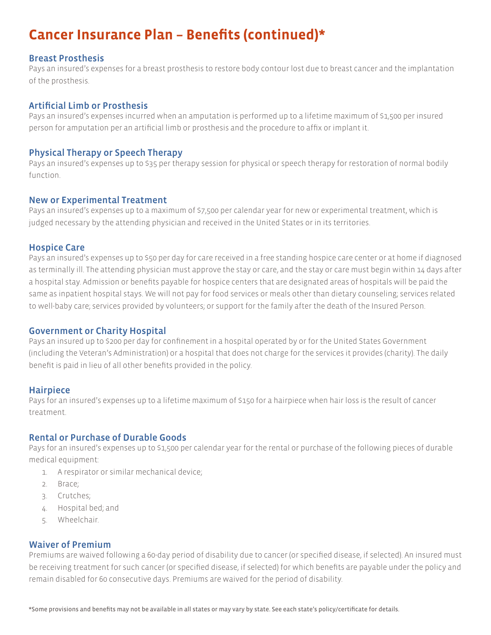#### **Breast Prosthesis**

Pays an insured's expenses for a breast prosthesis to restore body contour lost due to breast cancer and the implantation of the prosthesis.

#### Artificial Limb or Prosthesis

Pays an insured's expenses incurred when an amputation is performed up to a lifetime maximum of \$1,500 per insured person for amputation per an artificial limb or prosthesis and the procedure to affix or implant it.

#### Physical Therapy or Speech Therapy

Pays an insured's expenses up to \$35 per therapy session for physical or speech therapy for restoration of normal bodily function.

#### New or Experimental Treatment

Pays an insured's expenses up to a maximum of \$7,500 per calendar year for new or experimental treatment, which is judged necessary by the attending physician and received in the United States or in its territories.

#### **Hospice Care**

Pays an insured's expenses up to \$50 per day for care received in a free standing hospice care center or at home if diagnosed as terminally ill. The attending physician must approve the stay or care, and the stay or care must begin within 14 days after a hospital stay. Admission or benefits payable for hospice centers that are designated areas of hospitals will be paid the same as inpatient hospital stays. We will not pay for food services or meals other than dietary counseling; services related to well-baby care; services provided by volunteers; or support for the family after the death of the Insured Person.

#### **Government or Charity Hospital**

Pays an insured up to S200 per day for confinement in a hospital operated by or for the United States Government (including the Veteran's Administration) or a hospital that does not charge for the services it provides (charity). The daily benefit is paid in lieu of all other benefits provided in the policy.

#### **Hairpiece**

Pays for an insured's expenses up to a lifetime maximum of \$150 for a hairpiece when hair loss is the result of cancer treatment.

#### Rental or Purchase of Durable Goods

Pays for an insured's expenses up to \$1,500 per calendar year for the rental or purchase of the following pieces of durable medical equipment:

- 1. A respirator or similar mechanical device;
- 2. Brace;
- 3. Crutches:
- 4. Hospital bed; and
- 5. Wheelchair.

#### **Waiver of Premium**

Premiums are waived following a 60-day period of disability due to cancer (or specified disease, if selected). An insured must be receiving treatment for such cancer (or specified disease, if selected) for which benefits are payable under the policy and remain disabled for 60 consecutive days. Premiums are waived for the period of disability.

\*Some provisions and benefits may not be available in all states or may vary by state. See each state's policy/certificate for details.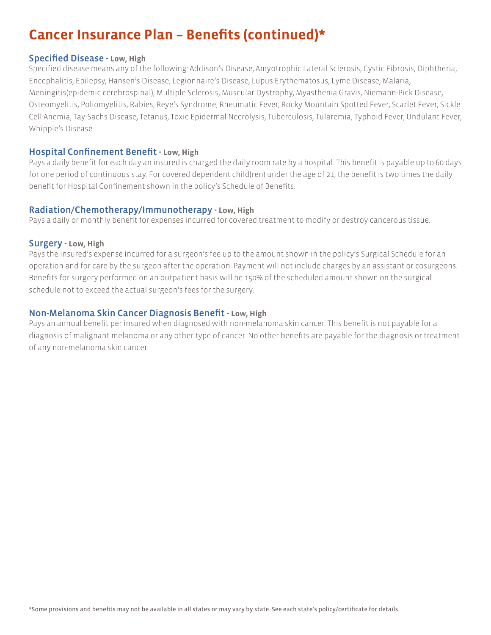#### **Specified Disease - Low. High**

Specified disease means any of the following: Addison's Disease, Amyotrophic Lateral Sclerosis, Cystic Fibrosis, Diphtheria, Encephalitis, Epilepsy, Hansen's Disease, Legionnaire's Disease, Lupus Erythematosus, Lyme Disease, Malaria, Meningitis(epidemic cerebrospinal), Multiple Sclerosis, Muscular Dystrophy, Myasthenia Gravis, Niemann-Pick Disease, Osteomyelitis, Poliomyelitis, Rabies, Reye's Syndrome, Rheumatic Fever, Rocky Mountain Spotted Fever, Scarlet Fever, Sickle Cell Anemia, Tay-Sachs Disease, Tetanus, Toxic Epidermal Necrolysis, Tuberculosis, Tularemia, Typhoid Fever, Undulant Fever, Whipple's Disease.

#### **Hospital Confinement Benefit - Low. High**

Pays a daily benefit for each day an insured is charged the daily room rate by a hospital. This benefit is payable up to 60 days for one period of continuous stay. For covered dependent child(ren) under the age of 21, the benefit is two times the daily benefit for Hospital Confinement shown in the policy's Schedule of Benefits.

#### Radiation/Chemotherapy/Immunotherapy - Low, High

Pays a daily or monthly benefit for expenses incurred for covered treatment to modify or destroy cancerous tissue.

#### **Surgery - Low, High**

Pays the insured's expense incurred for a surgeon's fee up to the amount shown in the policy's Surgical Schedule for an operation and for care by the surgeon after the operation. Payment will not include charges by an assistant or cosurgeons. Benefits for surgery performed on an outpatient basis will be 150% of the scheduled amount shown on the surgical schedule not to exceed the actual surgeon's fees for the surgery.

#### Non-Melanoma Skin Cancer Diagnosis Benefit - Low, High

Pays an annual benefit per insured when diagnosed with non-melanoma skin cancer. This benefit is not payable for a diagnosis of malignant melanoma or any other type of cancer. No other benefits are payable for the diagnosis or treatment of any non-melanoma skin cancer.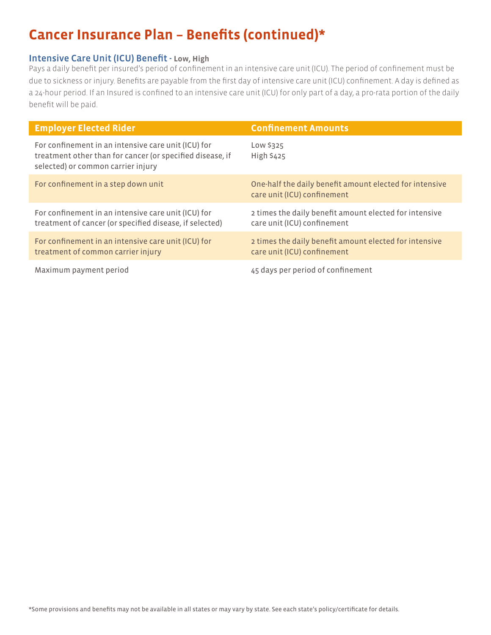### **Intensive Care Unit (ICU) Benefit - Low, High**

Pays a daily benefit per insured's period of confinement in an intensive care unit (ICU). The period of confinement must be due to sickness or injury. Benefits are payable from the first day of intensive care unit (ICU) confinement. A day is defined as a 24-hour period. If an Insured is confined to an intensive care unit (ICU) for only part of a day, a pro-rata portion of the daily benefit will be paid.

| <b>Employer Elected Rider</b>                                                                                                                          | <b>Confinement Amounts</b>                                                             |
|--------------------------------------------------------------------------------------------------------------------------------------------------------|----------------------------------------------------------------------------------------|
| For confinement in an intensive care unit (ICU) for<br>treatment other than for cancer (or specified disease, if<br>selected) or common carrier injury | Low \$325<br><b>High \$425</b>                                                         |
| For confinement in a step down unit                                                                                                                    | One-half the daily benefit amount elected for intensive<br>care unit (ICU) confinement |
| For confinement in an intensive care unit (ICU) for<br>treatment of cancer (or specified disease, if selected)                                         | 2 times the daily benefit amount elected for intensive<br>care unit (ICU) confinement  |
| For confinement in an intensive care unit (ICU) for<br>treatment of common carrier injury                                                              | 2 times the daily benefit amount elected for intensive<br>care unit (ICU) confinement  |
| Maximum payment period                                                                                                                                 | 45 days per period of confinement                                                      |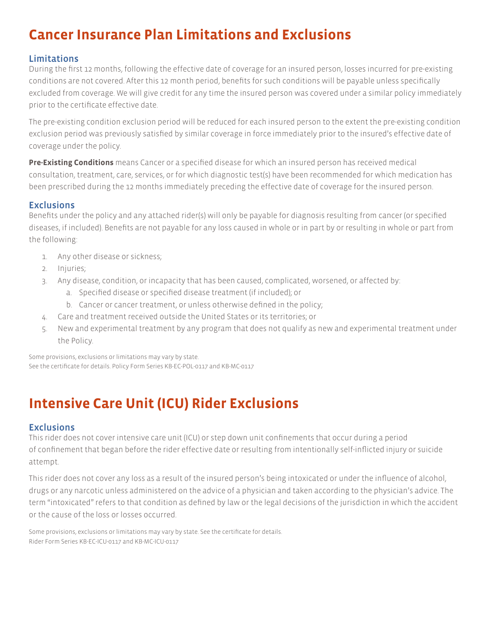# **Cancer Insurance Plan Limitations and Exclusions**

### **Limitations**

During the first 12 months, following the effective date of coverage for an insured person, losses incurred for pre-existing conditions are not covered. After this 12 month period, benefits for such conditions will be payable unless specifically excluded from coverage. We will give credit for any time the insured person was covered under a similar policy immediately prior to the certificate effective date.

The pre-existing condition exclusion period will be reduced for each insured person to the extent the pre-existing condition exclusion period was previously satisfied by similar coverage in force immediately prior to the insured's effective date of coverage under the policy.

Pre-Existing Conditions means Cancer or a specified disease for which an insured person has received medical consultation, treatment, care, services, or for which diagnostic test(s) have been recommended for which medication has been prescribed during the 12 months immediately preceding the effective date of coverage for the insured person.

### **Exclusions**

Benefits under the policy and any attached rider(s) will only be payable for diagnosis resulting from cancer (or specified diseases, if included). Benefits are not payable for any loss caused in whole or in part by or resulting in whole or part from the following:

- 1. Any other disease or sickness;
- 2. Injuries;
- 3. Any disease, condition, or incapacity that has been caused, complicated, worsened, or affected by:
	- a. Specified disease or specified disease treatment (if included); or
	- b. Cancer or cancer treatment, or unless otherwise defined in the policy;
- Care and treatment received outside the United States or its territories; or 4.
- New and experimental treatment by any program that does not qualify as new and experimental treatment under 5. the Policy.

Some provisions, exclusions or limitations may vary by state. See the certificate for details. Policy Form Series KB-EC-POL-0117 and KB-MC-0117

# **Intensive Care Unit (ICU) Rider Exclusions**

### **Exclusions**

This rider does not cover intensive care unit (ICU) or step down unit confinements that occur during a period of confinement that began before the rider effective date or resulting from intentionally self-inflicted injury or suicide attempt.

This rider does not cover any loss as a result of the insured person's being intoxicated or under the influence of alcohol, drugs or any narcotic unless administered on the advice of a physician and taken according to the physician's advice. The term "intoxicated" refers to that condition as defined by law or the legal decisions of the jurisdiction in which the accident or the cause of the loss or losses occurred.

Some provisions, exclusions or limitations may vary by state. See the certificate for details. Rider Form Series KB-EC-ICU-0117 and KB-MC-ICU-0117